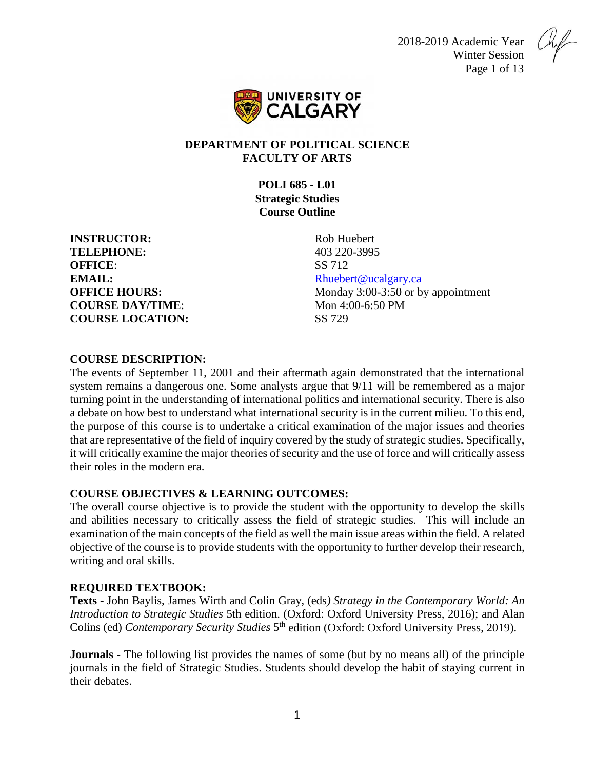2018-2019 Academic Year Winter Session Page 1 of 13



# **DEPARTMENT OF POLITICAL SCIENCE FACULTY OF ARTS**

**POLI 685 - L01 Strategic Studies Course Outline**

**INSTRUCTOR:** Rob Huebert **TELEPHONE:** 403 220-3995 **OFFICE:** SS 712 **EMAIL:** [Rhuebert@ucalgary.ca](mailto:Rhuebert@ucalgary.ca) **COURSE DAY/TIME:** Mon 4:00-6:50 PM **COURSE LOCATION:** SS 729

**OFFICE HOURS:** Monday 3:00-3:50 or by appointment

# **COURSE DESCRIPTION:**

The events of September 11, 2001 and their aftermath again demonstrated that the international system remains a dangerous one. Some analysts argue that 9/11 will be remembered as a major turning point in the understanding of international politics and international security. There is also a debate on how best to understand what international security is in the current milieu. To this end, the purpose of this course is to undertake a critical examination of the major issues and theories that are representative of the field of inquiry covered by the study of strategic studies. Specifically, it will critically examine the major theories of security and the use of force and will critically assess their roles in the modern era.

### **COURSE OBJECTIVES & LEARNING OUTCOMES:**

The overall course objective is to provide the student with the opportunity to develop the skills and abilities necessary to critically assess the field of strategic studies. This will include an examination of the main concepts of the field as well the main issue areas within the field. A related objective of the course is to provide students with the opportunity to further develop their research, writing and oral skills.

# **REQUIRED TEXTBOOK:**

**Texts** - John Baylis, James Wirth and Colin Gray, (eds*) Strategy in the Contemporary World: An Introduction to Strategic Studies* 5th edition. (Oxford: Oxford University Press, 2016); and Alan Colins (ed) *Contemporary Security Studies* 5th edition (Oxford: Oxford University Press, 2019).

**Journals** - The following list provides the names of some (but by no means all) of the principle journals in the field of Strategic Studies. Students should develop the habit of staying current in their debates.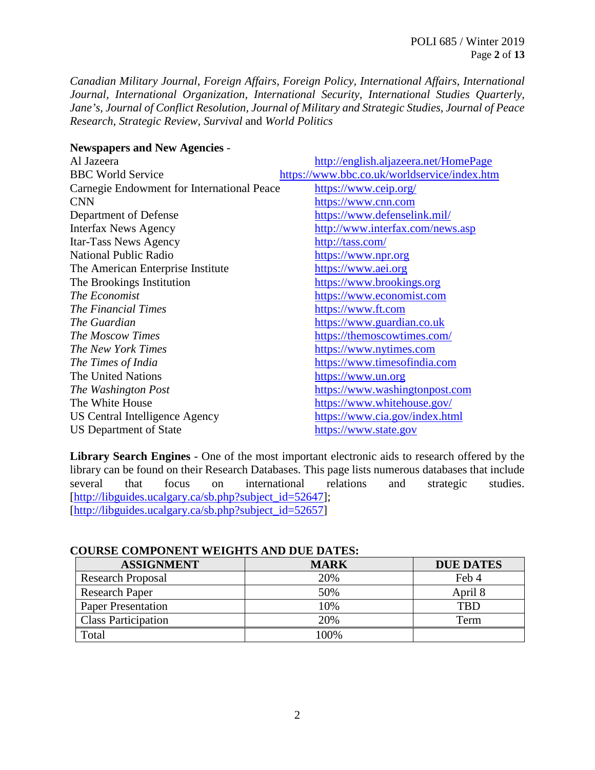*Canadian Military Journal, Foreign Affairs, Foreign Policy, International Affairs, International Journal, International Organization, International Security, International Studies Quarterly, Jane's, Journal of Conflict Resolution, Journal of Military and Strategic Studies, Journal of Peace Research, Strategic Review, Survival* and *World Politics*

#### **Newspapers and New Agencies** -

| Al Jazeera                                 | http://english.aljazeera.net/HomePage        |
|--------------------------------------------|----------------------------------------------|
| <b>BBC World Service</b>                   | https://www.bbc.co.uk/worldservice/index.htm |
| Carnegie Endowment for International Peace | https://www.ceip.org/                        |
| <b>CNN</b>                                 | https://www.cnn.com                          |
| Department of Defense                      | https://www.defenselink.mil/                 |
| <b>Interfax News Agency</b>                | http://www.interfax.com/news.asp             |
| Itar-Tass News Agency                      | http://tass.com/                             |
| <b>National Public Radio</b>               | https://www.npr.org                          |
| The American Enterprise Institute          | https://www.aei.org                          |
| The Brookings Institution                  | https://www.brookings.org                    |
| The Economist                              | https://www.economist.com                    |
| The Financial Times                        | https://www.ft.com                           |
| The Guardian                               | https://www.guardian.co.uk                   |
| <b>The Moscow Times</b>                    | https://themoscowtimes.com/                  |
| The New York Times                         | https://www.nytimes.com                      |
| The Times of India                         | https://www.timesofindia.com                 |
| The United Nations                         | https://www.un.org                           |
| The Washington Post                        | https://www.washingtonpost.com               |
| The White House                            | https://www.whitehouse.gov/                  |
| US Central Intelligence Agency             | https://www.cia.gov/index.html               |
| <b>US Department of State</b>              | https://www.state.gov                        |

**Library Search Engines** - One of the most important electronic aids to research offered by the library can be found on their Research Databases. This page lists numerous databases that include several that focus on international relations and strategic studies. [\[http://libguides.ucalgary.ca/sb.php?subject\\_id=52647\]](http://libguides.ucalgary.ca/sb.php?subject_id=52647); [\[http://libguides.ucalgary.ca/sb.php?subject\\_id=52657\]](http://libguides.ucalgary.ca/sb.php?subject_id=52657)

#### **COURSE COMPONENT WEIGHTS AND DUE DATES:**

| <b>ASSIGNMENT</b>          | <b>MARK</b> | <b>DUE DATES</b> |
|----------------------------|-------------|------------------|
| <b>Research Proposal</b>   | 20%         | Feb 4            |
| <b>Research Paper</b>      | 50%         | April 8          |
| <b>Paper Presentation</b>  | 10%         | TRD              |
| <b>Class Participation</b> | 20%         | Term             |
| Total                      | 100%        |                  |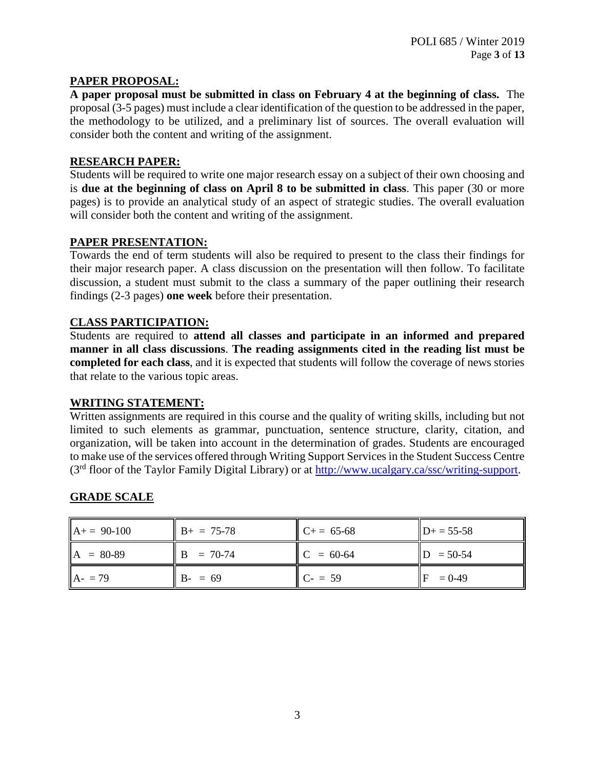# **PAPER PROPOSAL:**

**A paper proposal must be submitted in class on February 4 at the beginning of class.** The proposal (3-5 pages) must include a clear identification of the question to be addressed in the paper, the methodology to be utilized, and a preliminary list of sources. The overall evaluation will consider both the content and writing of the assignment.

### **RESEARCH PAPER:**

Students will be required to write one major research essay on a subject of their own choosing and is **due at the beginning of class on April 8 to be submitted in class**. This paper (30 or more pages) is to provide an analytical study of an aspect of strategic studies. The overall evaluation will consider both the content and writing of the assignment.

### **PAPER PRESENTATION:**

Towards the end of term students will also be required to present to the class their findings for their major research paper. A class discussion on the presentation will then follow. To facilitate discussion, a student must submit to the class a summary of the paper outlining their research findings (2-3 pages) **one week** before their presentation.

### **CLASS PARTICIPATION:**

Students are required to **attend all classes and participate in an informed and prepared manner in all class discussions**. **The reading assignments cited in the reading list must be completed for each class**, and it is expected that students will follow the coverage of news stories that relate to the various topic areas.

### **WRITING STATEMENT:**

Written assignments are required in this course and the quality of writing skills, including but not limited to such elements as grammar, punctuation, sentence structure, clarity, citation, and organization, will be taken into account in the determination of grades. Students are encouraged to make use of the services offered through Writing Support Services in the Student Success Centre (3rd floor of the Taylor Family Digital Library) or at [http://www.ucalgary.ca/ssc/writing-support.](http://www.ucalgary.ca/ssc/writing-support)

### **GRADE SCALE**

| $A+= 90-100$ | $B+ = 75-78$    | $C_{+} = 65-68$ | $D+ = 55-58$ |
|--------------|-----------------|-----------------|--------------|
| $A = 80-89$  | $B = 70-74$     | $C = 60-64$     | $= 50 - 54$  |
| $A - 79$     | $B - \equiv 69$ | $C - 59$        | $= 0 - 49$   |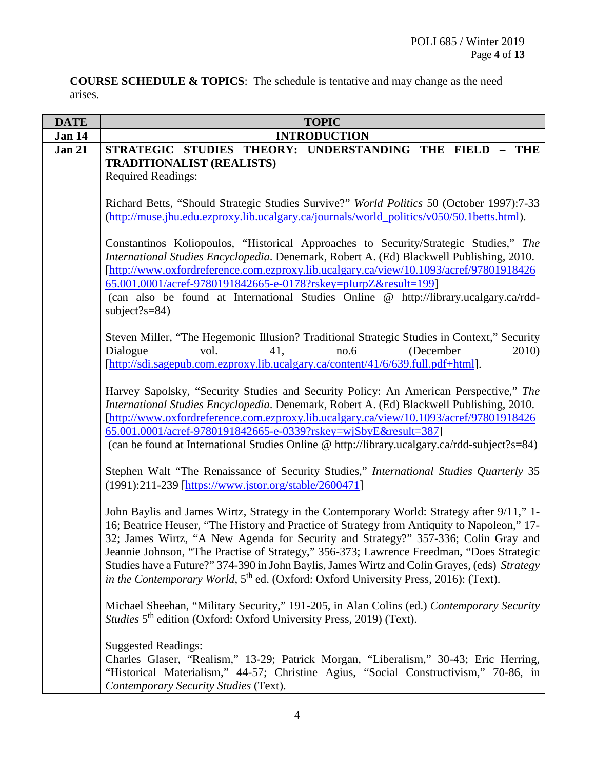**COURSE SCHEDULE & TOPICS**: The schedule is tentative and may change as the need arises.

| <b>DATE</b>   | <b>TOPIC</b>                                                                                                                                                                                                                                                                                                                                                                                                                                                                                                                                                                  |
|---------------|-------------------------------------------------------------------------------------------------------------------------------------------------------------------------------------------------------------------------------------------------------------------------------------------------------------------------------------------------------------------------------------------------------------------------------------------------------------------------------------------------------------------------------------------------------------------------------|
| Jan 14        | <b>INTRODUCTION</b>                                                                                                                                                                                                                                                                                                                                                                                                                                                                                                                                                           |
| <b>Jan 21</b> | STRATEGIC STUDIES THEORY: UNDERSTANDING THE FIELD<br>$-$ THE<br><b>TRADITIONALIST (REALISTS)</b><br><b>Required Readings:</b>                                                                                                                                                                                                                                                                                                                                                                                                                                                 |
|               | Richard Betts, "Should Strategic Studies Survive?" World Politics 50 (October 1997):7-33<br>(http://muse.jhu.edu.ezproxy.lib.ucalgary.ca/journals/world_politics/v050/50.1betts.html).                                                                                                                                                                                                                                                                                                                                                                                        |
|               | Constantinos Koliopoulos, "Historical Approaches to Security/Strategic Studies," The<br>International Studies Encyclopedia. Denemark, Robert A. (Ed) Blackwell Publishing, 2010.<br>[http://www.oxfordreference.com.ezproxy.lib.ucalgary.ca/view/10.1093/acref/97801918426<br>65.001.0001/acref-9780191842665-e-0178?rskey=pIurpZ&result=199]<br>(can also be found at International Studies Online @ http://library.ucalgary.ca/rdd-<br>subject?s= $84$ )                                                                                                                    |
|               | Steven Miller, "The Hegemonic Illusion? Traditional Strategic Studies in Context," Security<br>no.6<br>(December<br>Dialogue<br>vol.<br>41,<br>2010)<br>[http://sdi.sagepub.com.ezproxy.lib.ucalgary.ca/content/41/6/639.full.pdf+html].                                                                                                                                                                                                                                                                                                                                      |
|               | Harvey Sapolsky, "Security Studies and Security Policy: An American Perspective," The<br>International Studies Encyclopedia. Denemark, Robert A. (Ed) Blackwell Publishing, 2010.<br>[http://www.oxfordreference.com.ezproxy.lib.ucalgary.ca/view/10.1093/acref/97801918426<br>65.001.0001/acref-9780191842665-e-0339?rskey=wjSbyE&result=387]<br>(can be found at International Studies Online @ http://library.ucalgary.ca/rdd-subject?s=84)                                                                                                                                |
|               | Stephen Walt "The Renaissance of Security Studies," International Studies Quarterly 35<br>(1991):211-239 [https://www.jstor.org/stable/2600471]                                                                                                                                                                                                                                                                                                                                                                                                                               |
|               | John Baylis and James Wirtz, Strategy in the Contemporary World: Strategy after 9/11," 1-<br>16; Beatrice Heuser, "The History and Practice of Strategy from Antiquity to Napoleon," 17-<br>32; James Wirtz, "A New Agenda for Security and Strategy?" 357-336; Colin Gray and<br>Jeannie Johnson, "The Practise of Strategy," 356-373; Lawrence Freedman, "Does Strategic<br>Studies have a Future?" 374-390 in John Baylis, James Wirtz and Colin Grayes, (eds) Strategy<br>in the Contemporary World, 5 <sup>th</sup> ed. (Oxford: Oxford University Press, 2016): (Text). |
|               | Michael Sheehan, "Military Security," 191-205, in Alan Colins (ed.) Contemporary Security<br>Studies 5 <sup>th</sup> edition (Oxford: Oxford University Press, 2019) (Text).                                                                                                                                                                                                                                                                                                                                                                                                  |
|               | <b>Suggested Readings:</b><br>Charles Glaser, "Realism," 13-29; Patrick Morgan, "Liberalism," 30-43; Eric Herring,<br>"Historical Materialism," 44-57; Christine Agius, "Social Constructivism," 70-86, in<br>Contemporary Security Studies (Text).                                                                                                                                                                                                                                                                                                                           |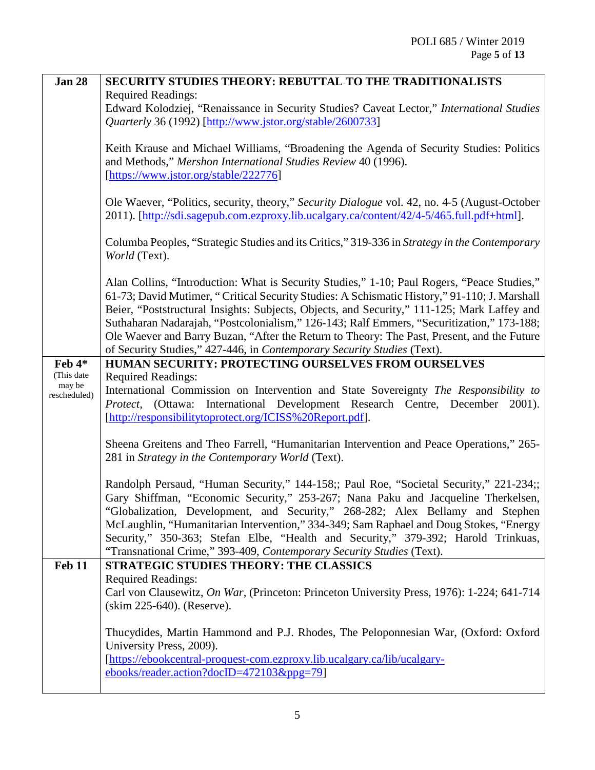| <b>Jan 28</b>        | <b>SECURITY STUDIES THEORY: REBUTTAL TO THE TRADITIONALISTS</b>                                                                                |
|----------------------|------------------------------------------------------------------------------------------------------------------------------------------------|
|                      | <b>Required Readings:</b>                                                                                                                      |
|                      | Edward Kolodziej, "Renaissance in Security Studies? Caveat Lector," International Studies                                                      |
|                      | <i>Quarterly</i> 36 (1992) [http://www.jstor.org/stable/2600733]                                                                               |
|                      |                                                                                                                                                |
|                      | Keith Krause and Michael Williams, "Broadening the Agenda of Security Studies: Politics                                                        |
|                      | and Methods," Mershon International Studies Review 40 (1996).                                                                                  |
|                      | [https://www.jstor.org/stable/222776]                                                                                                          |
|                      | Ole Waever, "Politics, security, theory," Security Dialogue vol. 42, no. 4-5 (August-October                                                   |
|                      | 2011). [http://sdi.sagepub.com.ezproxy.lib.ucalgary.ca/content/42/4-5/465.full.pdf+html].                                                      |
|                      |                                                                                                                                                |
|                      | Columba Peoples, "Strategic Studies and its Critics," 319-336 in Strategy in the Contemporary                                                  |
|                      | World (Text).                                                                                                                                  |
|                      |                                                                                                                                                |
|                      | Alan Collins, "Introduction: What is Security Studies," 1-10; Paul Rogers, "Peace Studies,"                                                    |
|                      | 61-73; David Mutimer, "Critical Security Studies: A Schismatic History," 91-110; J. Marshall                                                   |
|                      | Beier, "Poststructural Insights: Subjects, Objects, and Security," 111-125; Mark Laffey and                                                    |
|                      | Suthaharan Nadarajah, "Postcolonialism," 126-143; Ralf Emmers, "Securitization," 173-188;                                                      |
|                      | Ole Waever and Barry Buzan, "After the Return to Theory: The Past, Present, and the Future                                                     |
|                      | of Security Studies," 427-446, in Contemporary Security Studies (Text).                                                                        |
| Feb $4*$             | HUMAN SECURITY: PROTECTING OURSELVES FROM OURSELVES                                                                                            |
| (This date<br>may be | <b>Required Readings:</b>                                                                                                                      |
| rescheduled)         | International Commission on Intervention and State Sovereignty The Responsibility to                                                           |
|                      | International Development Research Centre, December 2001).<br>(Ottawa:<br>Protect,<br>[http://responsibilitytoprotect.org/ICISS%20Report.pdf]. |
|                      |                                                                                                                                                |
|                      | Sheena Greitens and Theo Farrell, "Humanitarian Intervention and Peace Operations," 265-                                                       |
|                      | 281 in Strategy in the Contemporary World (Text).                                                                                              |
|                      |                                                                                                                                                |
|                      | Randolph Persaud, "Human Security," 144-158;; Paul Roe, "Societal Security," 221-234;;                                                         |
|                      | Gary Shiffman, "Economic Security," 253-267; Nana Paku and Jacqueline Therkelsen,                                                              |
|                      | "Globalization, Development, and Security," 268-282; Alex Bellamy and Stephen                                                                  |
|                      | McLaughlin, "Humanitarian Intervention," 334-349; Sam Raphael and Doug Stokes, "Energy                                                         |
|                      | Security," 350-363; Stefan Elbe, "Health and Security," 379-392; Harold Trinkuas,                                                              |
|                      | "Transnational Crime," 393-409, Contemporary Security Studies (Text).                                                                          |
| <b>Feb 11</b>        | <b>STRATEGIC STUDIES THEORY: THE CLASSICS</b>                                                                                                  |
|                      | <b>Required Readings:</b>                                                                                                                      |
|                      | Carl von Clausewitz, On War, (Princeton: Princeton University Press, 1976): 1-224; 641-714                                                     |
|                      | (skim 225-640). (Reserve).                                                                                                                     |
|                      | Thucydides, Martin Hammond and P.J. Rhodes, The Peloponnesian War, (Oxford: Oxford                                                             |
|                      | University Press, 2009).                                                                                                                       |
|                      | [https://ebookcentral-proquest-com.ezproxy.lib.ucalgary.ca/lib/ucalgary-                                                                       |
|                      | ebooks/reader.action?docID=472103&ppg=79]                                                                                                      |
|                      |                                                                                                                                                |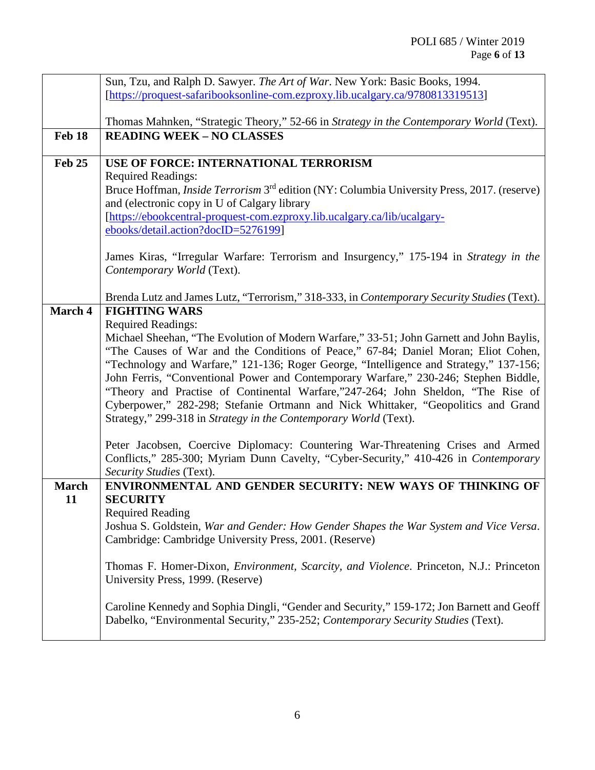|                | Sun, Tzu, and Ralph D. Sawyer. The Art of War. New York: Basic Books, 1994.                                                                                              |
|----------------|--------------------------------------------------------------------------------------------------------------------------------------------------------------------------|
|                | [https://proquest-safaribooksonline-com.ezproxy.lib.ucalgary.ca/9780813319513]                                                                                           |
|                |                                                                                                                                                                          |
|                | Thomas Mahnken, "Strategic Theory," 52-66 in Strategy in the Contemporary World (Text).                                                                                  |
| Feb 18         | <b>READING WEEK - NO CLASSES</b>                                                                                                                                         |
| Feb 25         | USE OF FORCE: INTERNATIONAL TERRORISM                                                                                                                                    |
|                | <b>Required Readings:</b>                                                                                                                                                |
|                | Bruce Hoffman, <i>Inside Terrorism</i> 3 <sup>rd</sup> edition (NY: Columbia University Press, 2017. (reserve)                                                           |
|                | and (electronic copy in U of Calgary library                                                                                                                             |
|                | [https://ebookcentral-proquest-com.ezproxy.lib.ucalgary.ca/lib/ucalgary-                                                                                                 |
|                | ebooks/detail.action?docID=5276199]                                                                                                                                      |
|                | James Kiras, "Irregular Warfare: Terrorism and Insurgency," 175-194 in Strategy in the                                                                                   |
|                | Contemporary World (Text).                                                                                                                                               |
|                |                                                                                                                                                                          |
|                | Brenda Lutz and James Lutz, "Terrorism," 318-333, in Contemporary Security Studies (Text).                                                                               |
| <b>March 4</b> | <b>FIGHTING WARS</b>                                                                                                                                                     |
|                | <b>Required Readings:</b>                                                                                                                                                |
|                | Michael Sheehan, "The Evolution of Modern Warfare," 33-51; John Garnett and John Baylis,                                                                                 |
|                | "The Causes of War and the Conditions of Peace," 67-84; Daniel Moran; Eliot Cohen,                                                                                       |
|                | "Technology and Warfare," 121-136; Roger George, "Intelligence and Strategy," 137-156;                                                                                   |
|                | John Ferris, "Conventional Power and Contemporary Warfare," 230-246; Stephen Biddle,<br>"Theory and Practise of Continental Warfare,"247-264; John Sheldon, "The Rise of |
|                | Cyberpower," 282-298; Stefanie Ortmann and Nick Whittaker, "Geopolitics and Grand                                                                                        |
|                | Strategy," 299-318 in Strategy in the Contemporary World (Text).                                                                                                         |
|                |                                                                                                                                                                          |
|                | Peter Jacobsen, Coercive Diplomacy: Countering War-Threatening Crises and Armed                                                                                          |
|                | Conflicts," 285-300; Myriam Dunn Cavelty, "Cyber-Security," 410-426 in Contemporary                                                                                      |
|                | Security Studies (Text).                                                                                                                                                 |
| <b>March</b>   | ENVIRONMENTAL AND GENDER SECURITY: NEW WAYS OF THINKING OF                                                                                                               |
| 11             | <b>SECURITY</b>                                                                                                                                                          |
|                | <b>Required Reading</b><br>Joshua S. Goldstein, War and Gender: How Gender Shapes the War System and Vice Versa.                                                         |
|                | Cambridge: Cambridge University Press, 2001. (Reserve)                                                                                                                   |
|                |                                                                                                                                                                          |
|                | Thomas F. Homer-Dixon, <i>Environment, Scarcity, and Violence</i> . Princeton, N.J.: Princeton                                                                           |
|                | University Press, 1999. (Reserve)                                                                                                                                        |
|                |                                                                                                                                                                          |
|                | Caroline Kennedy and Sophia Dingli, "Gender and Security," 159-172; Jon Barnett and Geoff                                                                                |
|                | Dabelko, "Environmental Security," 235-252; Contemporary Security Studies (Text).                                                                                        |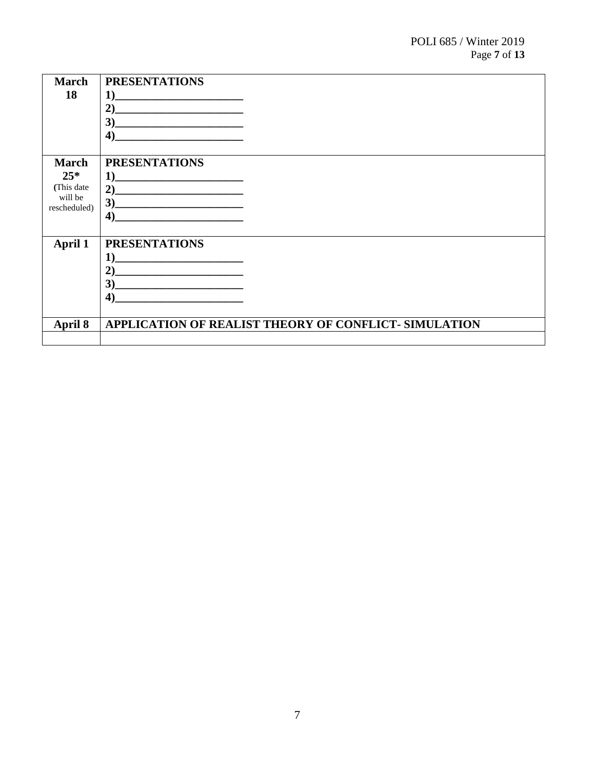| <b>March</b><br>18 | <b>PRESENTATIONS</b><br>1)<br>2)<br>$\bullet$ $\bullet$<br>$\blacktriangleleft$                                                                                                                                              |
|--------------------|------------------------------------------------------------------------------------------------------------------------------------------------------------------------------------------------------------------------------|
| <b>March</b>       | <b>PRESENTATIONS</b>                                                                                                                                                                                                         |
| $25*$              | 1)                                                                                                                                                                                                                           |
| (This date)        | $2)$ and $2$ and $2$ and $2$ and $2$ and $2$ and $2$ and $2$ and $2$ and $2$ and $2$ and $2$ and $2$ and $2$ and $2$ and $2$ and $2$ and $2$ and $2$ and $2$ and $2$ and $2$ and $2$ and $2$ and $2$ and $2$ and $2$ and $2$ |
| will be            | 3)                                                                                                                                                                                                                           |
| rescheduled)       | $\boldsymbol{4}$                                                                                                                                                                                                             |
|                    |                                                                                                                                                                                                                              |
| <b>April 1</b>     | <b>PRESENTATIONS</b>                                                                                                                                                                                                         |
|                    | 1)                                                                                                                                                                                                                           |
|                    | 2)                                                                                                                                                                                                                           |
|                    | 3)                                                                                                                                                                                                                           |
|                    | $\boldsymbol{4}$                                                                                                                                                                                                             |
|                    |                                                                                                                                                                                                                              |
| April 8            | APPLICATION OF REALIST THEORY OF CONFLICT- SIMULATION                                                                                                                                                                        |
|                    |                                                                                                                                                                                                                              |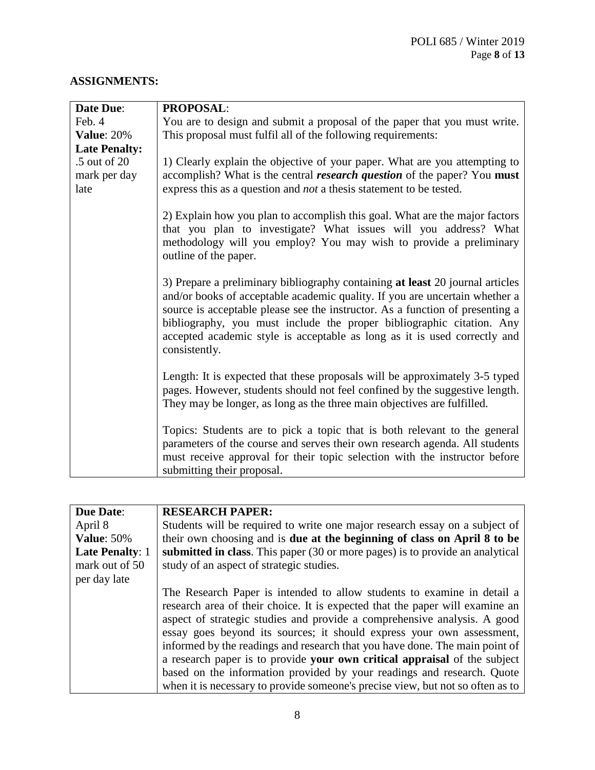# **ASSIGNMENTS:**

| <b>Date Due:</b>     | <b>PROPOSAL:</b>                                                                                                                                                                                                                                                                                                                                                                                                     |
|----------------------|----------------------------------------------------------------------------------------------------------------------------------------------------------------------------------------------------------------------------------------------------------------------------------------------------------------------------------------------------------------------------------------------------------------------|
| Feb. 4               | You are to design and submit a proposal of the paper that you must write.                                                                                                                                                                                                                                                                                                                                            |
| <b>Value: 20%</b>    | This proposal must fulfil all of the following requirements:                                                                                                                                                                                                                                                                                                                                                         |
| <b>Late Penalty:</b> |                                                                                                                                                                                                                                                                                                                                                                                                                      |
| .5 out of 20         | 1) Clearly explain the objective of your paper. What are you attempting to                                                                                                                                                                                                                                                                                                                                           |
| mark per day         | accomplish? What is the central <i>research question</i> of the paper? You must                                                                                                                                                                                                                                                                                                                                      |
| late                 | express this as a question and <i>not</i> a thesis statement to be tested.                                                                                                                                                                                                                                                                                                                                           |
|                      | 2) Explain how you plan to accomplish this goal. What are the major factors<br>that you plan to investigate? What issues will you address? What<br>methodology will you employ? You may wish to provide a preliminary<br>outline of the paper.                                                                                                                                                                       |
|                      | 3) Prepare a preliminary bibliography containing at least 20 journal articles<br>and/or books of acceptable academic quality. If you are uncertain whether a<br>source is acceptable please see the instructor. As a function of presenting a<br>bibliography, you must include the proper bibliographic citation. Any<br>accepted academic style is acceptable as long as it is used correctly and<br>consistently. |
|                      | Length: It is expected that these proposals will be approximately 3-5 typed<br>pages. However, students should not feel confined by the suggestive length.<br>They may be longer, as long as the three main objectives are fulfilled.                                                                                                                                                                                |
|                      | Topics: Students are to pick a topic that is both relevant to the general<br>parameters of the course and serves their own research agenda. All students<br>must receive approval for their topic selection with the instructor before<br>submitting their proposal.                                                                                                                                                 |

| <b>Due Date:</b>       | <b>RESEARCH PAPER:</b>                                                         |
|------------------------|--------------------------------------------------------------------------------|
| April 8                | Students will be required to write one major research essay on a subject of    |
|                        |                                                                                |
| <b>Value: 50%</b>      | their own choosing and is due at the beginning of class on April 8 to be       |
| <b>Late Penalty: 1</b> | submitted in class. This paper (30 or more pages) is to provide an analytical  |
| mark out of 50         | study of an aspect of strategic studies.                                       |
| per day late           |                                                                                |
|                        | The Research Paper is intended to allow students to examine in detail a        |
|                        | research area of their choice. It is expected that the paper will examine an   |
|                        | aspect of strategic studies and provide a comprehensive analysis. A good       |
|                        | essay goes beyond its sources; it should express your own assessment,          |
|                        | informed by the readings and research that you have done. The main point of    |
|                        | a research paper is to provide your own critical appraisal of the subject      |
|                        | based on the information provided by your readings and research. Quote         |
|                        | when it is necessary to provide someone's precise view, but not so often as to |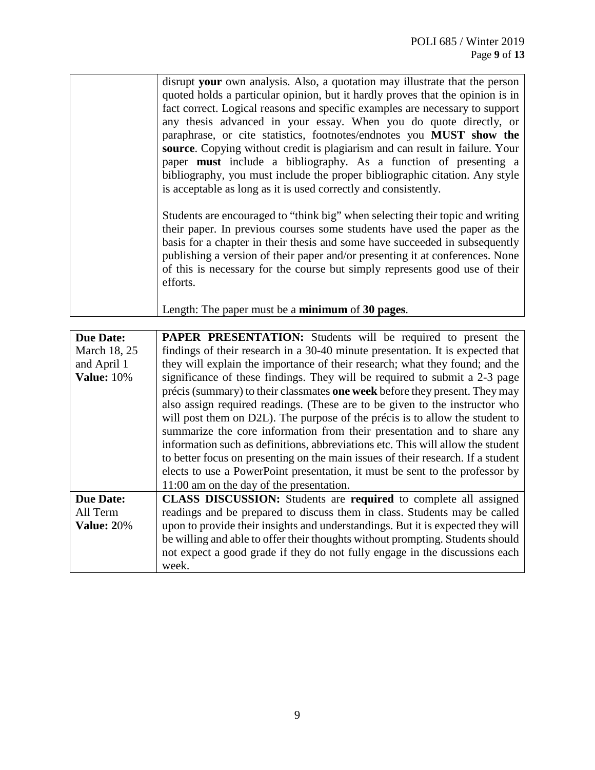| disrupt your own analysis. Also, a quotation may illustrate that the person    |
|--------------------------------------------------------------------------------|
| quoted holds a particular opinion, but it hardly proves that the opinion is in |
| fact correct. Logical reasons and specific examples are necessary to support   |
| any thesis advanced in your essay. When you do quote directly, or              |
| paraphrase, or cite statistics, footnotes/endnotes you MUST show the           |
| source. Copying without credit is plagiarism and can result in failure. Your   |
| paper <b>must</b> include a bibliography. As a function of presenting a        |
| bibliography, you must include the proper bibliographic citation. Any style    |
| is acceptable as long as it is used correctly and consistently.                |
|                                                                                |
| Students are encouraged to "think big" when selecting their topic and writing  |
| their paper. In previous courses some students have used the paper as the      |
| basis for a chapter in their thesis and some have succeeded in subsequently    |
| publishing a version of their paper and/or presenting it at conferences. None  |
| of this is necessary for the course but simply represents good use of their    |
| efforts.                                                                       |
|                                                                                |
| Length: The paper must be a minimum of 30 pages.                               |

| <b>Due Date:</b>  | <b>PAPER PRESENTATION:</b> Students will be required to present the              |
|-------------------|----------------------------------------------------------------------------------|
| March 18, 25      | findings of their research in a 30-40 minute presentation. It is expected that   |
| and April 1       | they will explain the importance of their research; what they found; and the     |
| <b>Value:</b> 10% | significance of these findings. They will be required to submit a 2-3 page       |
|                   | précis (summary) to their classmates one week before they present. They may      |
|                   | also assign required readings. (These are to be given to the instructor who      |
|                   | will post them on D2L). The purpose of the précis is to allow the student to     |
|                   | summarize the core information from their presentation and to share any          |
|                   | information such as definitions, abbreviations etc. This will allow the student  |
|                   | to better focus on presenting on the main issues of their research. If a student |
|                   | elects to use a PowerPoint presentation, it must be sent to the professor by     |
|                   | 11:00 am on the day of the presentation.                                         |
| <b>Due Date:</b>  | <b>CLASS DISCUSSION:</b> Students are required to complete all assigned          |
| All Term          | readings and be prepared to discuss them in class. Students may be called        |
| <b>Value: 20%</b> | upon to provide their insights and understandings. But it is expected they will  |
|                   | be willing and able to offer their thoughts without prompting. Students should   |
|                   | not expect a good grade if they do not fully engage in the discussions each      |
|                   | week.                                                                            |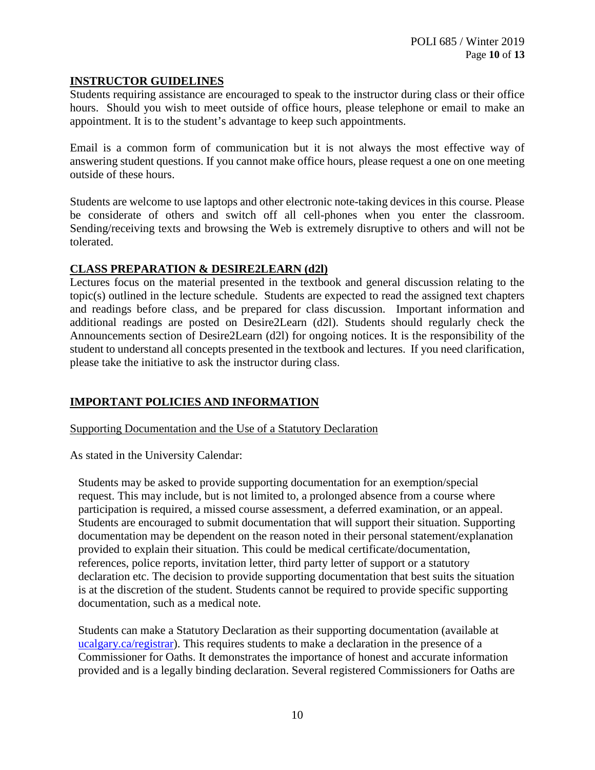# **INSTRUCTOR GUIDELINES**

Students requiring assistance are encouraged to speak to the instructor during class or their office hours. Should you wish to meet outside of office hours, please telephone or email to make an appointment. It is to the student's advantage to keep such appointments.

Email is a common form of communication but it is not always the most effective way of answering student questions. If you cannot make office hours, please request a one on one meeting outside of these hours.

Students are welcome to use laptops and other electronic note-taking devices in this course. Please be considerate of others and switch off all cell-phones when you enter the classroom. Sending/receiving texts and browsing the Web is extremely disruptive to others and will not be tolerated.

### **CLASS PREPARATION & DESIRE2LEARN (d2l)**

Lectures focus on the material presented in the textbook and general discussion relating to the topic(s) outlined in the lecture schedule. Students are expected to read the assigned text chapters and readings before class, and be prepared for class discussion. Important information and additional readings are posted on Desire2Learn (d2l). Students should regularly check the Announcements section of Desire2Learn (d2l) for ongoing notices. It is the responsibility of the student to understand all concepts presented in the textbook and lectures. If you need clarification, please take the initiative to ask the instructor during class.

# **IMPORTANT POLICIES AND INFORMATION**

Supporting Documentation and the Use of a Statutory Declaration

As stated in the University Calendar:

Students may be asked to provide supporting documentation for an exemption/special request. This may include, but is not limited to, a prolonged absence from a course where participation is required, a missed course assessment, a deferred examination, or an appeal. Students are encouraged to submit documentation that will support their situation. Supporting documentation may be dependent on the reason noted in their personal statement/explanation provided to explain their situation. This could be medical certificate/documentation, references, police reports, invitation letter, third party letter of support or a statutory declaration etc. The decision to provide supporting documentation that best suits the situation is at the discretion of the student. Students cannot be required to provide specific supporting documentation, such as a medical note.

Students can make a Statutory Declaration as their supporting documentation (available at ucalgary.ca/registrar). This requires students to make a declaration in the presence of a Commissioner for Oaths. It demonstrates the importance of honest and accurate information provided and is a legally binding declaration. Several registered Commissioners for Oaths are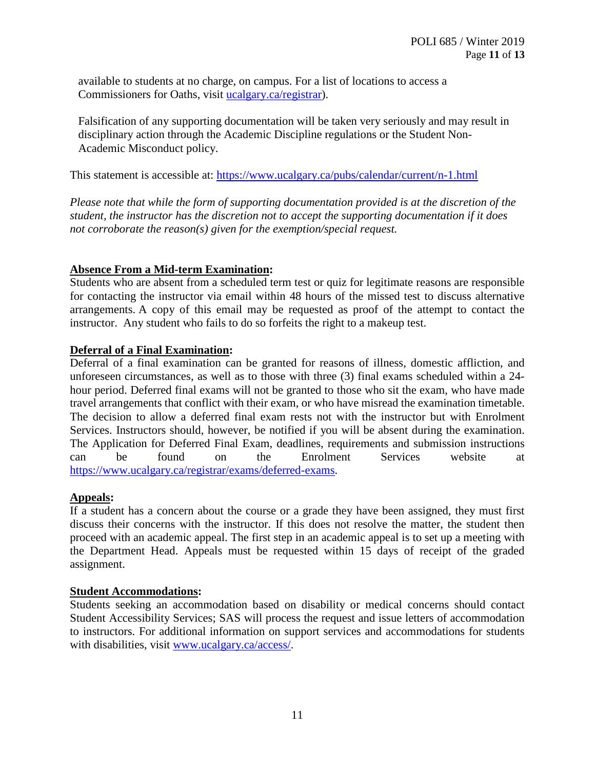available to students at no charge, on campus. For a list of locations to access a Commissioners for Oaths, visit [ucalgary.ca/registrar\)](http://www.ucalgary.ca/registrar).

Falsification of any supporting documentation will be taken very seriously and may result in disciplinary action through the Academic Discipline regulations or the Student Non-Academic Misconduct policy.

This statement is accessible at:<https://www.ucalgary.ca/pubs/calendar/current/n-1.html>

*Please note that while the form of supporting documentation provided is at the discretion of the student, the instructor has the discretion not to accept the supporting documentation if it does not corroborate the reason(s) given for the exemption/special request.*

# **Absence From a Mid-term Examination:**

Students who are absent from a scheduled term test or quiz for legitimate reasons are responsible for contacting the instructor via email within 48 hours of the missed test to discuss alternative arrangements. A copy of this email may be requested as proof of the attempt to contact the instructor. Any student who fails to do so forfeits the right to a makeup test.

# **Deferral of a Final Examination:**

Deferral of a final examination can be granted for reasons of illness, domestic affliction, and unforeseen circumstances, as well as to those with three (3) final exams scheduled within a 24 hour period. Deferred final exams will not be granted to those who sit the exam, who have made travel arrangements that conflict with their exam, or who have misread the examination timetable. The decision to allow a deferred final exam rests not with the instructor but with Enrolment Services. Instructors should, however, be notified if you will be absent during the examination. The Application for Deferred Final Exam, deadlines, requirements and submission instructions can be found on the Enrolment Services website at [https://www.ucalgary.ca/registrar/exams/deferred-exams.](https://www.ucalgary.ca/registrar/exams/deferred-exams)

# **Appeals:**

If a student has a concern about the course or a grade they have been assigned, they must first discuss their concerns with the instructor. If this does not resolve the matter, the student then proceed with an academic appeal. The first step in an academic appeal is to set up a meeting with the Department Head. Appeals must be requested within 15 days of receipt of the graded assignment.

### **Student Accommodations:**

Students seeking an accommodation based on disability or medical concerns should contact Student Accessibility Services; SAS will process the request and issue letters of accommodation to instructors. For additional information on support services and accommodations for students with disabilities, visit [www.ucalgary.ca/access/.](http://www.ucalgary.ca/access/)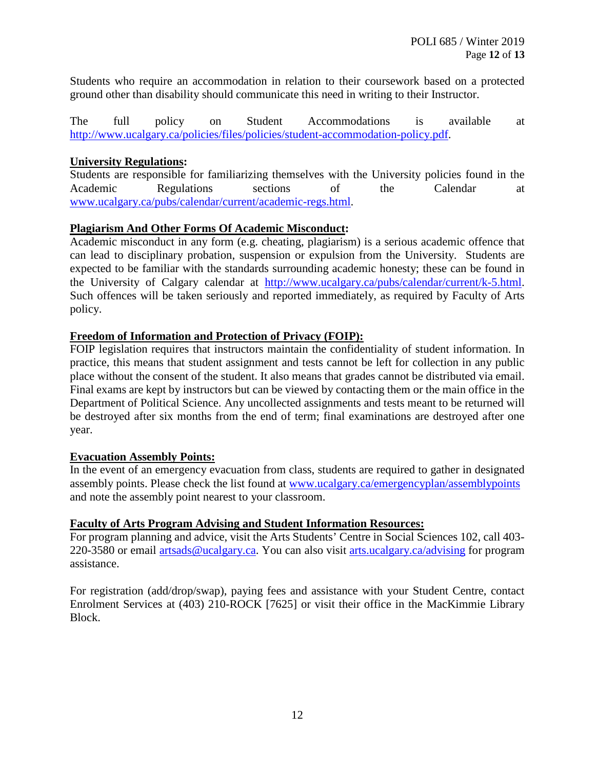Students who require an accommodation in relation to their coursework based on a protected ground other than disability should communicate this need in writing to their Instructor.

The full policy on Student Accommodations is available at [http://www.ucalgary.ca/policies/files/policies/student-accommodation-policy.pdf.](http://www.ucalgary.ca/policies/files/policies/student-accommodation-policy.pdf)

### **University Regulations:**

Students are responsible for familiarizing themselves with the University policies found in the Academic Regulations sections of the Calendar at [www.ucalgary.ca/pubs/calendar/current/academic-regs.html.](http://www.ucalgary.ca/pubs/calendar/current/academic-regs.html)

# **Plagiarism And Other Forms Of Academic Misconduct:**

Academic misconduct in any form (e.g. cheating, plagiarism) is a serious academic offence that can lead to disciplinary probation, suspension or expulsion from the University. Students are expected to be familiar with the standards surrounding academic honesty; these can be found in the University of Calgary calendar at [http://www.ucalgary.ca/pubs/calendar/current/k-5.html.](http://www.ucalgary.ca/pubs/calendar/current/k-5.html) Such offences will be taken seriously and reported immediately, as required by Faculty of Arts policy.

# **Freedom of Information and Protection of Privacy (FOIP):**

FOIP legislation requires that instructors maintain the confidentiality of student information. In practice, this means that student assignment and tests cannot be left for collection in any public place without the consent of the student. It also means that grades cannot be distributed via email. Final exams are kept by instructors but can be viewed by contacting them or the main office in the Department of Political Science. Any uncollected assignments and tests meant to be returned will be destroyed after six months from the end of term; final examinations are destroyed after one year.

### **Evacuation Assembly Points:**

In the event of an emergency evacuation from class, students are required to gather in designated assembly points. Please check the list found at [www.ucalgary.ca/emergencyplan/assemblypoints](http://www.ucalgary.ca/emergencyplan/assemblypoints) and note the assembly point nearest to your classroom.

### **Faculty of Arts Program Advising and Student Information Resources:**

For program planning and advice, visit the Arts Students' Centre in Social Sciences 102, call 403- 220-3580 or email [artsads@ucalgary.ca.](mailto:artsads@ucalgary.ca) You can also visit [arts.ucalgary.ca/advising](http://arts.ucalgary.ca/advising) for program assistance.

For registration (add/drop/swap), paying fees and assistance with your Student Centre, contact Enrolment Services at (403) 210-ROCK [7625] or visit their office in the MacKimmie Library Block.